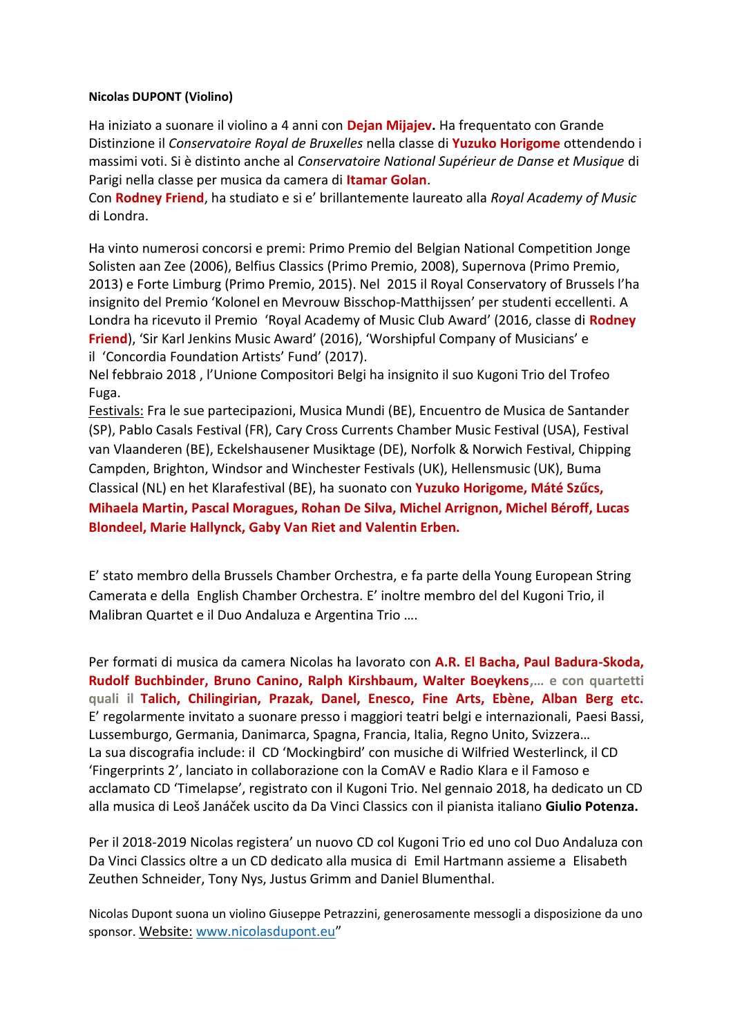# **Nicolas DUPONT (Violino)**

Ha iniziato a suonare il violino a 4 anni con **Dejan Mijajev.** Ha frequentato con Grande Distinzione il *Conservatoire Royal de Bruxelles* nella classe di **Yuzuko Horigome** ottendendo i massimi voti. Si è distinto anche al *Conservatoire National Supérieur de Danse et Musique* di Parigi nella classe per musica da camera di **Itamar Golan**.

Con **Rodney Friend**, ha studiato e si e' brillantemente laureato alla *Royal Academy of Music* di Londra.

Ha vinto numerosi concorsi e premi: Primo Premio del Belgian National Competition Jonge Solisten aan Zee (2006), Belfius Classics (Primo Premio, 2008), Supernova (Primo Premio, 2013) e Forte Limburg (Primo Premio, 2015). Nel 2015 il Royal Conservatory of Brussels l'ha insignito del Premio 'Kolonel en Mevrouw Bisschop-Matthijssen' per studenti eccellenti. A Londra ha ricevuto il Premio 'Royal Academy of Music Club Award' (2016, classe di **Rodney Friend**), 'Sir Karl Jenkins Music Award' (2016), 'Worshipful Company of Musicians' e il 'Concordia Foundation Artists' Fund' (2017).

Nel febbraio 2018 , l'Unione Compositori Belgi ha insignito il suo Kugoni Trio del Trofeo Fuga.

Festivals: Fra le sue partecipazioni, Musica Mundi (BE), Encuentro de Musica de Santander (SP), Pablo Casals Festival (FR), Cary Cross Currents Chamber Music Festival (USA), Festival van Vlaanderen (BE), Eckelshausener Musiktage (DE), Norfolk & Norwich Festival, Chipping Campden, Brighton, Windsor and Winchester Festivals (UK), Hellensmusic (UK), Buma Classical (NL) en het Klarafestival (BE), ha suonato con **Yuzuko Horigome, Máté Szűcs, Mihaela Martin, Pascal Moragues, Rohan De Silva, Michel Arrignon, Michel Béroff, Lucas Blondeel, Marie Hallynck, Gaby Van Riet and Valentin Erben.**

E' stato membro della Brussels Chamber Orchestra, e fa parte della Young European String Camerata e della English Chamber Orchestra. E' inoltre membro del del Kugoni Trio, il Malibran Quartet e il Duo Andaluza e Argentina Trio ….

Per formati di musica da camera Nicolas ha lavorato con **A.R. El Bacha, Paul Badura-Skoda, Rudolf Buchbinder, Bruno Canino, Ralph Kirshbaum, Walter Boeykens,… e con quartetti quali il Talich, Chilingirian, Prazak, Danel, Enesco, Fine Arts, Ebène, Alban Berg etc.** E' regolarmente invitato a suonare presso i maggiori teatri belgi e internazionali, Paesi Bassi, Lussemburgo, Germania, Danimarca, Spagna, Francia, Italia, Regno Unito, Svizzera… La sua discografia include: il CD 'Mockingbird' con musiche di Wilfried Westerlinck, il CD 'Fingerprints 2', lanciato in collaborazione con la ComAV e Radio Klara e il Famoso e acclamato CD 'Timelapse', registrato con il Kugoni Trio. Nel gennaio 2018, ha dedicato un CD alla musica di Leoš Janáček uscito da Da Vinci Classics con il pianista italiano **Giulio Potenza.**

Per il 2018-2019 Nicolas registera' un nuovo CD col Kugoni Trio ed uno col Duo Andaluza con Da Vinci Classics oltre a un CD dedicato alla musica di Emil Hartmann assieme a Elisabeth Zeuthen Schneider, Tony Nys, Justus Grimm and Daniel Blumenthal.

Nicolas Dupont suona un violino Giuseppe Petrazzini, generosamente messogli a disposizione da uno sponsor. Website: www.nicolasdupont.eu"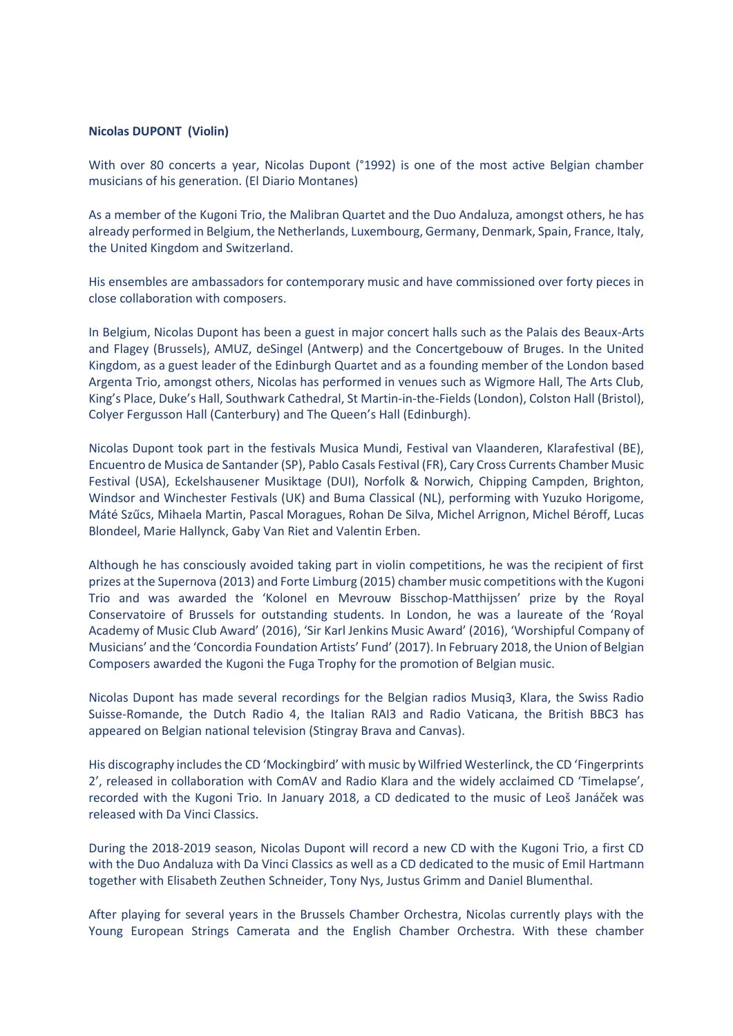#### **Nicolas DUPONT (Violin)**

With over 80 concerts a year, Nicolas Dupont (°1992) is one of the most active Belgian chamber musicians of his generation. (El Diario Montanes)

As a member of the Kugoni Trio, the Malibran Quartet and the Duo Andaluza, amongst others, he has already performed in Belgium, the Netherlands, Luxembourg, Germany, Denmark, Spain, France, Italy, the United Kingdom and Switzerland.

His ensembles are ambassadors for contemporary music and have commissioned over forty pieces in close collaboration with composers.

In Belgium, Nicolas Dupont has been a guest in major concert halls such as the Palais des Beaux-Arts and Flagey (Brussels), AMUZ, deSingel (Antwerp) and the Concertgebouw of Bruges. In the United Kingdom, as a guest leader of the Edinburgh Quartet and as a founding member of the London based Argenta Trio, amongst others, Nicolas has performed in venues such as Wigmore Hall, The Arts Club, King's Place, Duke's Hall, Southwark Cathedral, St Martin-in-the-Fields (London), Colston Hall (Bristol), Colyer Fergusson Hall (Canterbury) and The Queen's Hall (Edinburgh).

Nicolas Dupont took part in the festivals Musica Mundi, Festival van Vlaanderen, Klarafestival (BE), Encuentro de Musica de Santander (SP), Pablo Casals Festival (FR), Cary Cross Currents Chamber Music Festival (USA), Eckelshausener Musiktage (DUI), Norfolk & Norwich, Chipping Campden, Brighton, Windsor and Winchester Festivals (UK) and Buma Classical (NL), performing with Yuzuko Horigome, Máté Szűcs, Mihaela Martin, Pascal Moragues, Rohan De Silva, Michel Arrignon, Michel Béroff, Lucas Blondeel, Marie Hallynck, Gaby Van Riet and Valentin Erben.

Although he has consciously avoided taking part in violin competitions, he was the recipient of first prizes at the Supernova (2013) and Forte Limburg (2015) chamber music competitions with the Kugoni Trio and was awarded the 'Kolonel en Mevrouw Bisschop-Matthijssen' prize by the Royal Conservatoire of Brussels for outstanding students. In London, he was a laureate of the 'Royal Academy of Music Club Award' (2016), 'Sir Karl Jenkins Music Award' (2016), 'Worshipful Company of Musicians' and the 'Concordia Foundation Artists' Fund' (2017). In February 2018, the Union of Belgian Composers awarded the Kugoni the Fuga Trophy for the promotion of Belgian music.

Nicolas Dupont has made several recordings for the Belgian radios Musiq3, Klara, the Swiss Radio Suisse-Romande, the Dutch Radio 4, the Italian RAI3 and Radio Vaticana, the British BBC3 has appeared on Belgian national television (Stingray Brava and Canvas).

His discography includes the CD 'Mockingbird' with music by Wilfried Westerlinck, the CD 'Fingerprints 2', released in collaboration with ComAV and Radio Klara and the widely acclaimed CD 'Timelapse', recorded with the Kugoni Trio. In January 2018, a CD dedicated to the music of Leoš Janáček was released with Da Vinci Classics.

During the 2018-2019 season, Nicolas Dupont will record a new CD with the Kugoni Trio, a first CD with the Duo Andaluza with Da Vinci Classics as well as a CD dedicated to the music of Emil Hartmann together with Elisabeth Zeuthen Schneider, Tony Nys, Justus Grimm and Daniel Blumenthal.

After playing for several years in the Brussels Chamber Orchestra, Nicolas currently plays with the Young European Strings Camerata and the English Chamber Orchestra. With these chamber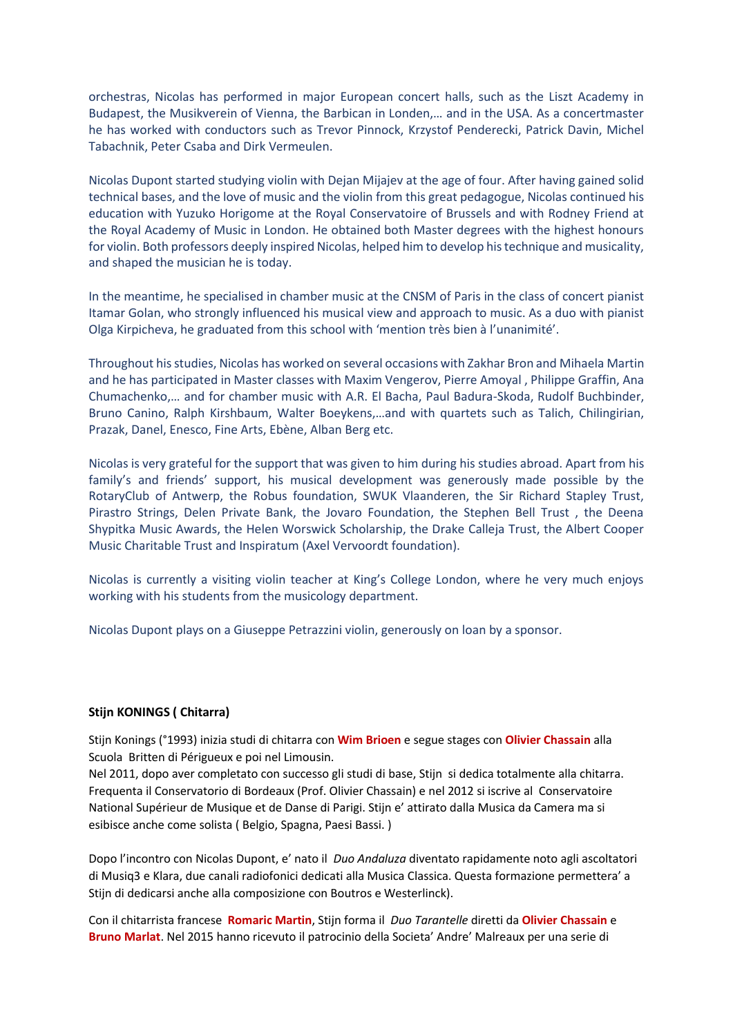orchestras, Nicolas has performed in major European concert halls, such as the Liszt Academy in Budapest, the Musikverein of Vienna, the Barbican in Londen,… and in the USA. As a concertmaster he has worked with conductors such as Trevor Pinnock, Krzystof Penderecki, Patrick Davin, Michel Tabachnik, Peter Csaba and Dirk Vermeulen.

Nicolas Dupont started studying violin with Dejan Mijajev at the age of four. After having gained solid technical bases, and the love of music and the violin from this great pedagogue, Nicolas continued his education with Yuzuko Horigome at the Royal Conservatoire of Brussels and with Rodney Friend at the Royal Academy of Music in London. He obtained both Master degrees with the highest honours for violin. Both professors deeply inspired Nicolas, helped him to develop his technique and musicality, and shaped the musician he is today.

In the meantime, he specialised in chamber music at the CNSM of Paris in the class of concert pianist Itamar Golan, who strongly influenced his musical view and approach to music. As a duo with pianist Olga Kirpicheva, he graduated from this school with 'mention très bien à l'unanimité'.

Throughout his studies, Nicolas has worked on several occasions with Zakhar Bron and Mihaela Martin and he has participated in Master classes with Maxim Vengerov, Pierre Amoyal , Philippe Graffin, Ana Chumachenko,… and for chamber music with A.R. El Bacha, Paul Badura-Skoda, Rudolf Buchbinder, Bruno Canino, Ralph Kirshbaum, Walter Boeykens,…and with quartets such as Talich, Chilingirian, Prazak, Danel, Enesco, Fine Arts, Ebène, Alban Berg etc.

Nicolas is very grateful for the support that was given to him during his studies abroad. Apart from his family's and friends' support, his musical development was generously made possible by the RotaryClub of Antwerp, the Robus foundation, SWUK Vlaanderen, the Sir Richard Stapley Trust, Pirastro Strings, Delen Private Bank, the Jovaro Foundation, the Stephen Bell Trust , the Deena Shypitka Music Awards, the Helen Worswick Scholarship, the Drake Calleja Trust, the Albert Cooper Music Charitable Trust and Inspiratum (Axel Vervoordt foundation).

Nicolas is currently a visiting violin teacher at King's College London, where he very much enjoys working with his students from the musicology department.

Nicolas Dupont plays on a Giuseppe Petrazzini violin, generously on loan by a sponsor.

## **Stijn KONINGS ( Chitarra)**

Stijn Konings (°1993) inizia studi di chitarra con **Wim Brioen** e segue stages con **Olivier Chassain** alla Scuola Britten di Périgueux e poi nel Limousin.

Nel 2011, dopo aver completato con successo gli studi di base, Stijn si dedica totalmente alla chitarra. Frequenta il Conservatorio di Bordeaux (Prof. Olivier Chassain) e nel 2012 si iscrive al Conservatoire National Supérieur de Musique et de Danse di Parigi. Stijn e' attirato dalla Musica da Camera ma si esibisce anche come solista ( Belgio, Spagna, Paesi Bassi. )

Dopo l'incontro con Nicolas Dupont, e' nato il *Duo Andaluza* diventato rapidamente noto agli ascoltatori di Musiq3 e Klara, due canali radiofonici dedicati alla Musica Classica. Questa formazione permettera' a Stijn di dedicarsi anche alla composizione con Boutros e Westerlinck).

Con il chitarrista francese **Romaric Martin**, Stijn forma il *Duo Tarantelle* diretti da **Olivier Chassain** e **Bruno Marlat**. Nel 2015 hanno ricevuto il patrocinio della Societa' Andre' Malreaux per una serie di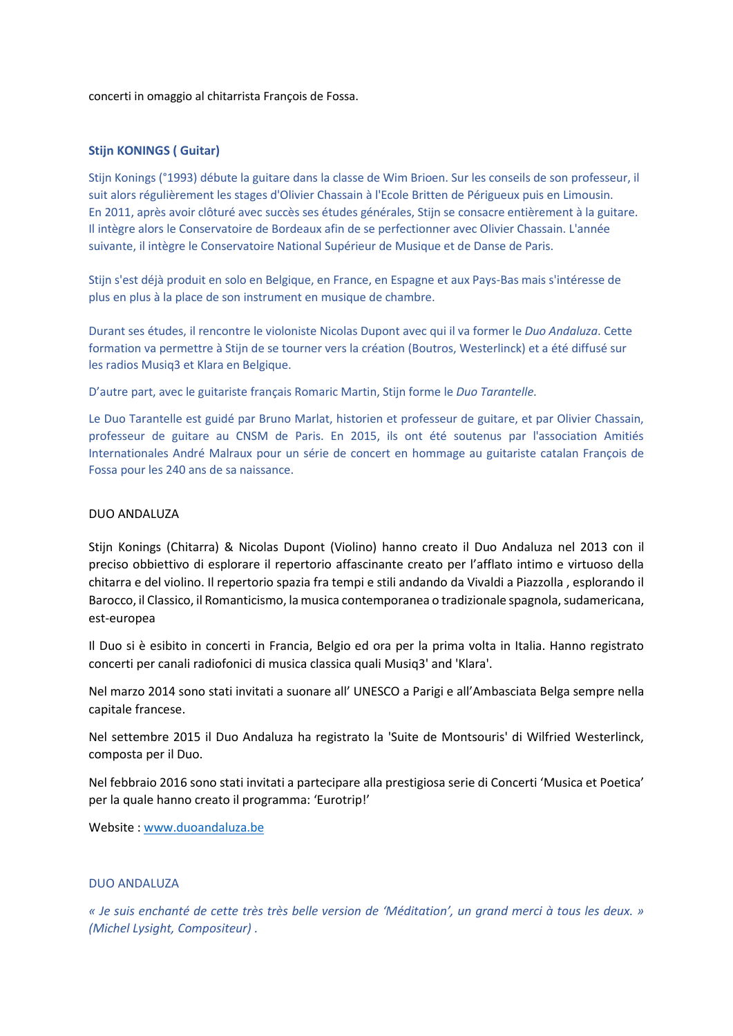concerti in omaggio al chitarrista François de Fossa.

## **Stijn KONINGS ( Guitar)**

Stijn Konings (°1993) débute la guitare dans la classe de Wim Brioen. Sur les conseils de son professeur, il suit alors régulièrement les stages d'Olivier Chassain à l'Ecole Britten de Périgueux puis en Limousin. En 2011, après avoir clôturé avec succès ses études générales, Stijn se consacre entièrement à la guitare. Il intègre alors le Conservatoire de Bordeaux afin de se perfectionner avec Olivier Chassain. L'année suivante, il intègre le Conservatoire National Supérieur de Musique et de Danse de Paris.

Stijn s'est déjà produit en solo en Belgique, en France, en Espagne et aux Pays-Bas mais s'intéresse de plus en plus à la place de son instrument en musique de chambre.

Durant ses études, il rencontre le violoniste Nicolas Dupont avec qui il va former le *Duo Andaluza*. Cette formation va permettre à Stijn de se tourner vers la création (Boutros, Westerlinck) et a été diffusé sur les radios Musiq3 et Klara en Belgique.

D'autre part, avec le guitariste français Romaric Martin, Stijn forme le *Duo Tarantelle*.

Le Duo Tarantelle est guidé par Bruno Marlat, historien et professeur de guitare, et par Olivier Chassain, professeur de guitare au CNSM de Paris. En 2015, ils ont été soutenus par l'association Amitiés Internationales André Malraux pour un série de concert en hommage au guitariste catalan François de Fossa pour les 240 ans de sa naissance.

### DUO ANDALUZA

Stijn Konings (Chitarra) & Nicolas Dupont (Violino) hanno creato il Duo Andaluza nel 2013 con il preciso obbiettivo di esplorare il repertorio affascinante creato per l'afflato intimo e virtuoso della chitarra e del violino. Il repertorio spazia fra tempi e stili andando da Vivaldi a Piazzolla , esplorando il Barocco, il Classico, il Romanticismo, la musica contemporanea o tradizionale spagnola, sudamericana, est-europea

Il Duo si è esibito in concerti in Francia, Belgio ed ora per la prima volta in Italia. Hanno registrato concerti per canali radiofonici di musica classica quali Musiq3' and 'Klara'.

Nel marzo 2014 sono stati invitati a suonare all' UNESCO a Parigi e all'Ambasciata Belga sempre nella capitale francese.

Nel settembre 2015 il Duo Andaluza ha registrato la 'Suite de Montsouris' di Wilfried Westerlinck, composta per il Duo.

Nel febbraio 2016 sono stati invitati a partecipare alla prestigiosa serie di Concerti 'Musica et Poetica' per la quale hanno creato il programma: 'Eurotrip!'

Website : www.duoandaluza.be

#### DUO ANDALUZA

*« Je suis enchanté de cette très très belle version de 'Méditation', un grand merci à tous les deux. » (Michel Lysight, Compositeur) .*